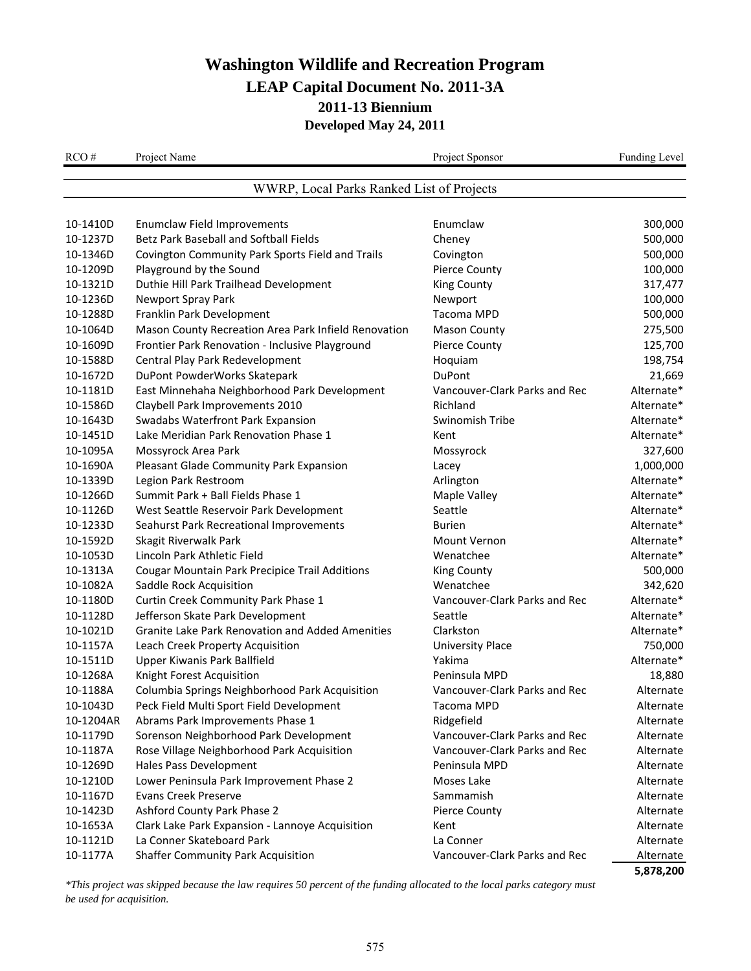| RCO#                  | Project Name                                                                 | Project Sponsor                     | Funding Level          |
|-----------------------|------------------------------------------------------------------------------|-------------------------------------|------------------------|
|                       | WWRP, Local Parks Ranked List of Projects                                    |                                     |                        |
|                       |                                                                              |                                     |                        |
| 10-1410D              | <b>Enumclaw Field Improvements</b>                                           | Enumclaw                            | 300,000                |
| 10-1237D              | Betz Park Baseball and Softball Fields                                       | Cheney                              | 500,000                |
| 10-1346D              | Covington Community Park Sports Field and Trails                             | Covington                           | 500,000                |
| 10-1209D<br>10-1321D  | Playground by the Sound<br>Duthie Hill Park Trailhead Development            | Pierce County<br><b>King County</b> | 100,000                |
|                       | Newport Spray Park                                                           |                                     | 317,477                |
| 10-1236D<br>10-1288D  | Franklin Park Development                                                    | Newport<br>Tacoma MPD               | 100,000<br>500,000     |
| 10-1064D              |                                                                              |                                     |                        |
|                       | Mason County Recreation Area Park Infield Renovation                         | <b>Mason County</b>                 | 275,500                |
| 10-1609D              | Frontier Park Renovation - Inclusive Playground                              | <b>Pierce County</b>                | 125,700                |
| 10-1588D              | Central Play Park Redevelopment                                              | Hoquiam                             | 198,754                |
| 10-1672D              | DuPont PowderWorks Skatepark                                                 | DuPont                              | 21,669                 |
| 10-1181D              | East Minnehaha Neighborhood Park Development                                 | Vancouver-Clark Parks and Rec       | Alternate*             |
| 10-1586D              | Claybell Park Improvements 2010                                              | Richland                            | Alternate*             |
| 10-1643D              | Swadabs Waterfront Park Expansion                                            | Swinomish Tribe                     | Alternate*             |
| 10-1451D              | Lake Meridian Park Renovation Phase 1                                        | Kent                                | Alternate*             |
| 10-1095A              | Mossyrock Area Park                                                          | Mossyrock                           | 327,600                |
| 10-1690A              | Pleasant Glade Community Park Expansion                                      | Lacey                               | 1,000,000              |
| 10-1339D              | Legion Park Restroom                                                         | Arlington                           | Alternate*             |
| 10-1266D              | Summit Park + Ball Fields Phase 1                                            | Maple Valley                        | Alternate*             |
| 10-1126D              | West Seattle Reservoir Park Development                                      | Seattle                             | Alternate*             |
| 10-1233D              | Seahurst Park Recreational Improvements                                      | <b>Burien</b>                       | Alternate*             |
| 10-1592D              | Skagit Riverwalk Park                                                        | <b>Mount Vernon</b>                 | Alternate*             |
| 10-1053D              | Lincoln Park Athletic Field                                                  | Wenatchee                           | Alternate*             |
| 10-1313A              | <b>Cougar Mountain Park Precipice Trail Additions</b>                        | <b>King County</b><br>Wenatchee     | 500,000                |
| 10-1082A              | Saddle Rock Acquisition                                                      |                                     | 342,620                |
| 10-1180D              | Curtin Creek Community Park Phase 1                                          | Vancouver-Clark Parks and Rec       | Alternate*             |
| 10-1128D              | Jefferson Skate Park Development                                             | Seattle                             | Alternate*             |
| 10-1021D              | <b>Granite Lake Park Renovation and Added Amenities</b>                      | Clarkston                           | Alternate*             |
| 10-1157A              | Leach Creek Property Acquisition                                             | <b>University Place</b>             | 750,000<br>Alternate*  |
| 10-1511D<br>10-1268A  | Upper Kiwanis Park Ballfield<br>Knight Forest Acquisition                    | Yakima<br>Peninsula MPD             | 18,880                 |
| 10-1188A              |                                                                              | Vancouver-Clark Parks and Rec       |                        |
| 10-1043D              | Columbia Springs Neighborhood Park Acquisition                               | Tacoma MPD                          | Alternate              |
|                       | Peck Field Multi Sport Field Development                                     |                                     | Alternate<br>Alternate |
| 10-1204AR<br>10-1179D | Abrams Park Improvements Phase 1                                             | Ridgefield                          |                        |
|                       | Sorenson Neighborhood Park Development                                       | Vancouver-Clark Parks and Rec       | Alternate              |
| 10-1187A              | Rose Village Neighborhood Park Acquisition<br>Hales Pass Development         | Vancouver-Clark Parks and Rec       | Alternate              |
| 10-1269D              |                                                                              | Peninsula MPD                       | Alternate<br>Alternate |
| 10-1210D              | Lower Peninsula Park Improvement Phase 2<br><b>Evans Creek Preserve</b>      | Moses Lake<br>Sammamish             |                        |
| 10-1167D              |                                                                              |                                     | Alternate              |
| 10-1423D              | Ashford County Park Phase 2                                                  | Pierce County<br>Kent               | Alternate<br>Alternate |
| 10-1653A<br>10-1121D  | Clark Lake Park Expansion - Lannoye Acquisition<br>La Conner Skateboard Park | La Conner                           | Alternate              |
| 10-1177A              | <b>Shaffer Community Park Acquisition</b>                                    | Vancouver-Clark Parks and Rec       |                        |
|                       |                                                                              |                                     | Alternate              |

**5,878,200**

*\*This project was skipped because the law requires 50 percent of the funding allocated to the local parks category must be used for acquisition.*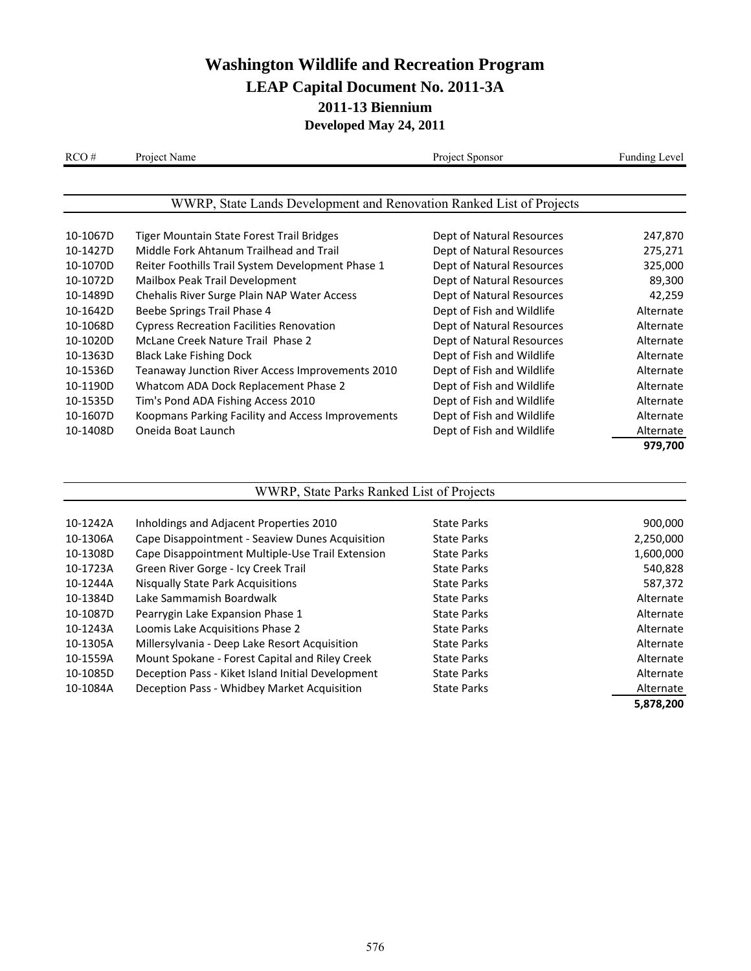| RCO#     | Project Name                                                         | Project Sponsor           | Funding Level |
|----------|----------------------------------------------------------------------|---------------------------|---------------|
|          |                                                                      |                           |               |
|          | WWRP, State Lands Development and Renovation Ranked List of Projects |                           |               |
| 10-1067D | Tiger Mountain State Forest Trail Bridges                            | Dept of Natural Resources | 247,870       |
| 10-1427D | Middle Fork Ahtanum Trailhead and Trail                              | Dept of Natural Resources | 275,271       |
| 10-1070D | Reiter Foothills Trail System Development Phase 1                    | Dept of Natural Resources | 325,000       |
| 10-1072D | Mailbox Peak Trail Development                                       | Dept of Natural Resources | 89,300        |
| 10-1489D | Chehalis River Surge Plain NAP Water Access                          | Dept of Natural Resources | 42,259        |
| 10-1642D | Beebe Springs Trail Phase 4                                          | Dept of Fish and Wildlife | Alternate     |
| 10-1068D | <b>Cypress Recreation Facilities Renovation</b>                      | Dept of Natural Resources | Alternate     |
| 10-1020D | McLane Creek Nature Trail Phase 2                                    | Dept of Natural Resources | Alternate     |
| 10-1363D | <b>Black Lake Fishing Dock</b>                                       | Dept of Fish and Wildlife | Alternate     |
| 10-1536D | Teanaway Junction River Access Improvements 2010                     | Dept of Fish and Wildlife | Alternate     |
| 10-1190D | Whatcom ADA Dock Replacement Phase 2                                 | Dept of Fish and Wildlife | Alternate     |
| 10-1535D | Tim's Pond ADA Fishing Access 2010                                   | Dept of Fish and Wildlife | Alternate     |
| 10-1607D | Koopmans Parking Facility and Access Improvements                    | Dept of Fish and Wildlife | Alternate     |
| 10-1408D | Oneida Boat Launch                                                   | Dept of Fish and Wildlife | Alternate     |
|          |                                                                      |                           | 979,700       |

#### WWRP, State Parks Ranked List of Projects

| 10-1242A | Inholdings and Adjacent Properties 2010           | State Parks        | 900,000   |
|----------|---------------------------------------------------|--------------------|-----------|
| 10-1306A | Cape Disappointment - Seaview Dunes Acquisition   | <b>State Parks</b> | 2,250,000 |
| 10-1308D | Cape Disappointment Multiple-Use Trail Extension  | <b>State Parks</b> | 1,600,000 |
| 10-1723A | Green River Gorge - Icy Creek Trail               | <b>State Parks</b> | 540,828   |
| 10-1244A | <b>Nisqually State Park Acquisitions</b>          | <b>State Parks</b> | 587,372   |
| 10-1384D | Lake Sammamish Boardwalk                          | <b>State Parks</b> | Alternate |
| 10-1087D | Pearrygin Lake Expansion Phase 1                  | <b>State Parks</b> | Alternate |
| 10-1243A | Loomis Lake Acquisitions Phase 2                  | <b>State Parks</b> | Alternate |
| 10-1305A | Millersylvania - Deep Lake Resort Acquisition     | State Parks        | Alternate |
| 10-1559A | Mount Spokane - Forest Capital and Riley Creek    | State Parks        | Alternate |
| 10-1085D | Deception Pass - Kiket Island Initial Development | <b>State Parks</b> | Alternate |
| 10-1084A | Deception Pass - Whidbey Market Acquisition       | <b>State Parks</b> | Alternate |
|          |                                                   |                    | 5,878,200 |
|          |                                                   |                    |           |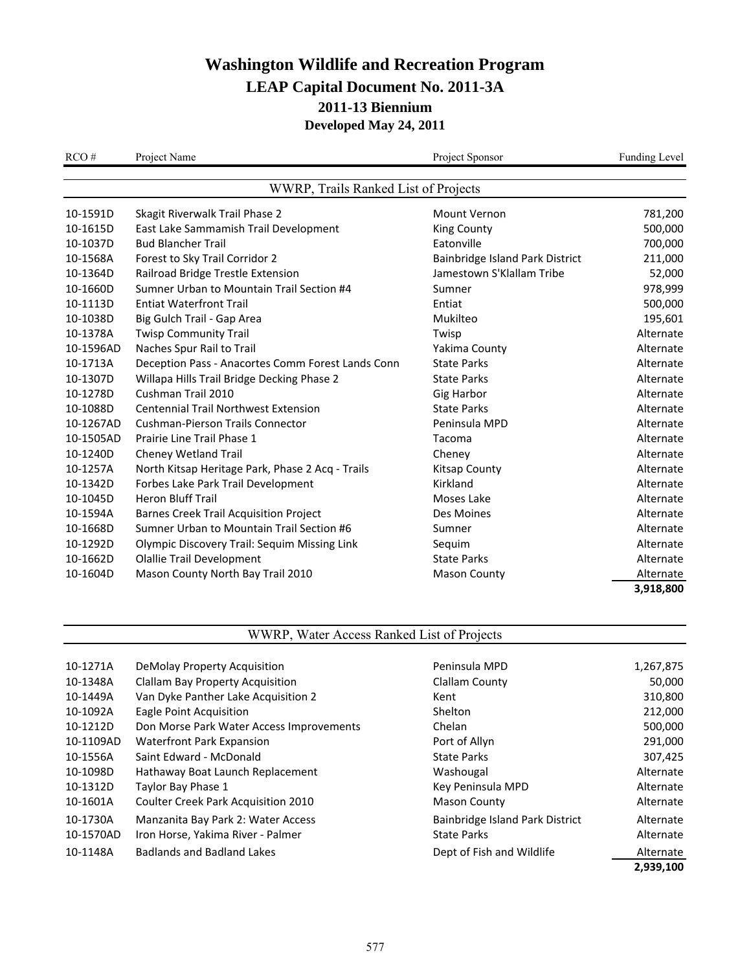| RCO#      | Project Name                                      | Project Sponsor                 | Funding Level |
|-----------|---------------------------------------------------|---------------------------------|---------------|
|           | WWRP, Trails Ranked List of Projects              |                                 |               |
| 10-1591D  | Skagit Riverwalk Trail Phase 2                    | Mount Vernon                    | 781,200       |
| 10-1615D  | East Lake Sammamish Trail Development             | <b>King County</b>              | 500,000       |
| 10-1037D  | <b>Bud Blancher Trail</b>                         | Eatonville                      | 700,000       |
| 10-1568A  | Forest to Sky Trail Corridor 2                    | Bainbridge Island Park District | 211,000       |
| 10-1364D  | Railroad Bridge Trestle Extension                 | Jamestown S'Klallam Tribe       | 52,000        |
| 10-1660D  | Sumner Urban to Mountain Trail Section #4         | Sumner                          | 978,999       |
| 10-1113D  | <b>Entiat Waterfront Trail</b>                    | Entiat                          | 500,000       |
| 10-1038D  | Big Gulch Trail - Gap Area                        | Mukilteo                        | 195,601       |
| 10-1378A  | <b>Twisp Community Trail</b>                      | Twisp                           | Alternate     |
| 10-1596AD | Naches Spur Rail to Trail                         | Yakima County                   | Alternate     |
| 10-1713A  | Deception Pass - Anacortes Comm Forest Lands Conn | <b>State Parks</b>              | Alternate     |
| 10-1307D  | Willapa Hills Trail Bridge Decking Phase 2        | <b>State Parks</b>              | Alternate     |
| 10-1278D  | Cushman Trail 2010                                | <b>Gig Harbor</b>               | Alternate     |
| 10-1088D  | <b>Centennial Trail Northwest Extension</b>       | <b>State Parks</b>              | Alternate     |
| 10-1267AD | <b>Cushman-Pierson Trails Connector</b>           | Peninsula MPD                   | Alternate     |
| 10-1505AD | Prairie Line Trail Phase 1                        | Tacoma                          | Alternate     |
| 10-1240D  | Cheney Wetland Trail                              | Cheney                          | Alternate     |
| 10-1257A  | North Kitsap Heritage Park, Phase 2 Acq - Trails  | <b>Kitsap County</b>            | Alternate     |
| 10-1342D  | Forbes Lake Park Trail Development                | Kirkland                        | Alternate     |
| 10-1045D  | <b>Heron Bluff Trail</b>                          | Moses Lake                      | Alternate     |
| 10-1594A  | <b>Barnes Creek Trail Acquisition Project</b>     | Des Moines                      | Alternate     |
| 10-1668D  | Sumner Urban to Mountain Trail Section #6         | Sumner                          | Alternate     |
| 10-1292D  | Olympic Discovery Trail: Sequim Missing Link      | Sequim                          | Alternate     |
| 10-1662D  | <b>Olallie Trail Development</b>                  | <b>State Parks</b>              | Alternate     |
| 10-1604D  | Mason County North Bay Trail 2010                 | <b>Mason County</b>             | Alternate     |
|           |                                                   |                                 | 3,918,800     |

#### WWRP, Water Access Ranked List of Projects

| 10-1271A  | DeMolay Property Acquisition             | Peninsula MPD                   | 1,267,875 |
|-----------|------------------------------------------|---------------------------------|-----------|
| 10-1348A  | Clallam Bay Property Acquisition         | Clallam County                  | 50,000    |
| 10-1449A  | Van Dyke Panther Lake Acquisition 2      | Kent                            | 310,800   |
| 10-1092A  | Eagle Point Acquisition                  | Shelton                         | 212,000   |
| 10-1212D  | Don Morse Park Water Access Improvements | Chelan                          | 500,000   |
| 10-1109AD | Waterfront Park Expansion                | Port of Allyn                   | 291,000   |
| 10-1556A  | Saint Edward - McDonald                  | <b>State Parks</b>              | 307,425   |
| 10-1098D  | Hathaway Boat Launch Replacement         | Washougal                       | Alternate |
| 10-1312D  | Taylor Bay Phase 1                       | Key Peninsula MPD               | Alternate |
| 10-1601A  | Coulter Creek Park Acquisition 2010      | <b>Mason County</b>             | Alternate |
| 10-1730A  | Manzanita Bay Park 2: Water Access       | Bainbridge Island Park District | Alternate |
| 10-1570AD | Iron Horse, Yakima River - Palmer        | <b>State Parks</b>              | Alternate |
| 10-1148A  | <b>Badlands and Badland Lakes</b>        | Dept of Fish and Wildlife       | Alternate |

|                                 | 2,939,100 |
|---------------------------------|-----------|
| Dept of Fish and Wildlife       | Alternate |
| <b>State Parks</b>              | Alternate |
| Bainbridge Island Park District | Alternate |
| <b>Mason County</b>             | Alternate |
| Key Peninsula MPD               | Alternate |
| Washougal                       | Alternate |
| State Parks                     | 307,425   |
| Port of Allyn                   | 291,000   |
| Chelan                          | 500,000   |
| Shelton                         | 212,000   |
| Kent                            | 310,800   |
| Clallam County                  | 50,000    |
| Peninsula MPD                   | 1,267,875 |
|                                 |           |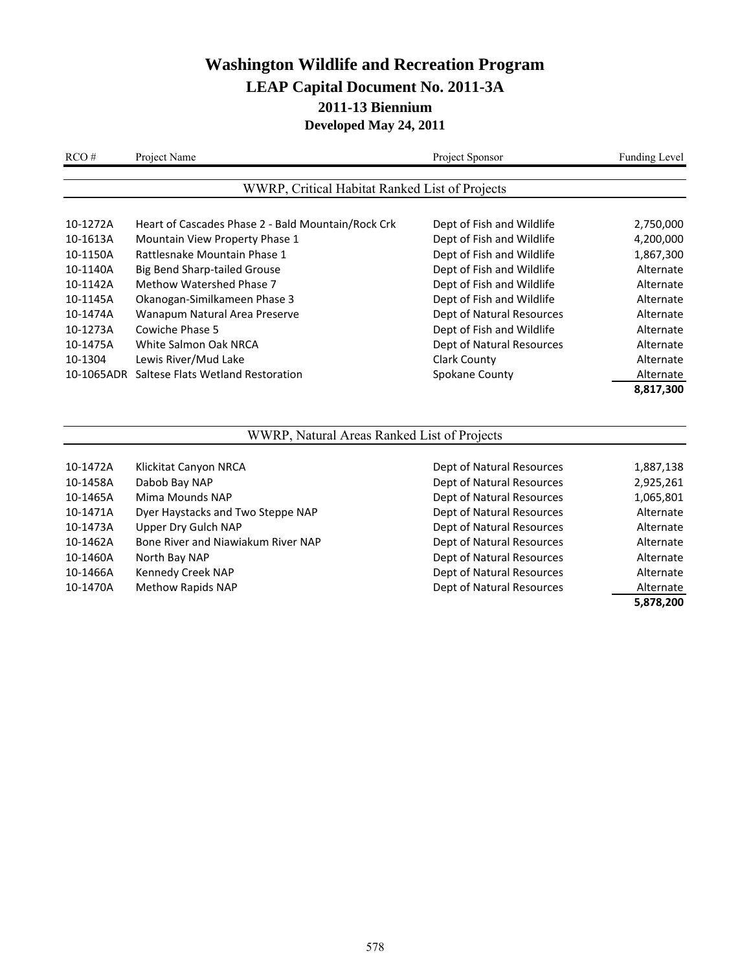| RCO#       | Project Name                                       | Project Sponsor           | <b>Funding Level</b> |
|------------|----------------------------------------------------|---------------------------|----------------------|
|            | WWRP, Critical Habitat Ranked List of Projects     |                           |                      |
| 10-1272A   | Heart of Cascades Phase 2 - Bald Mountain/Rock Crk | Dept of Fish and Wildlife | 2,750,000            |
| 10-1613A   | Mountain View Property Phase 1                     | Dept of Fish and Wildlife | 4,200,000            |
| 10-1150A   | Rattlesnake Mountain Phase 1                       | Dept of Fish and Wildlife | 1,867,300            |
| 10-1140A   | Big Bend Sharp-tailed Grouse                       | Dept of Fish and Wildlife | Alternate            |
| 10-1142A   | Methow Watershed Phase 7                           | Dept of Fish and Wildlife | Alternate            |
| 10-1145A   | Okanogan-Similkameen Phase 3                       | Dept of Fish and Wildlife | Alternate            |
| 10-1474A   | Wanapum Natural Area Preserve                      | Dept of Natural Resources | Alternate            |
| 10-1273A   | Cowiche Phase 5                                    | Dept of Fish and Wildlife | Alternate            |
| 10-1475A   | White Salmon Oak NRCA                              | Dept of Natural Resources | Alternate            |
| 10-1304    | Lewis River/Mud Lake                               | Clark County              | Alternate            |
| 10-1065ADR | Saltese Flats Wetland Restoration                  | Spokane County            | Alternate            |
|            |                                                    |                           | 8,817,300            |

### WWRP, Natural Areas Ranked List of Projects

| 10-1472A | Klickitat Canyon NRCA              | Dept of Natural Resources | 1,887,138 |
|----------|------------------------------------|---------------------------|-----------|
| 10-1458A | Dabob Bay NAP                      | Dept of Natural Resources | 2,925,261 |
| 10-1465A | Mima Mounds NAP                    | Dept of Natural Resources | 1,065,801 |
| 10-1471A | Dyer Haystacks and Two Steppe NAP  | Dept of Natural Resources | Alternate |
| 10-1473A | Upper Dry Gulch NAP                | Dept of Natural Resources | Alternate |
| 10-1462A | Bone River and Niawiakum River NAP | Dept of Natural Resources | Alternate |
| 10-1460A | North Bay NAP                      | Dept of Natural Resources | Alternate |
| 10-1466A | Kennedy Creek NAP                  | Dept of Natural Resources | Alternate |
| 10-1470A | Methow Rapids NAP                  | Dept of Natural Resources | Alternate |
|          |                                    |                           | 5,878,200 |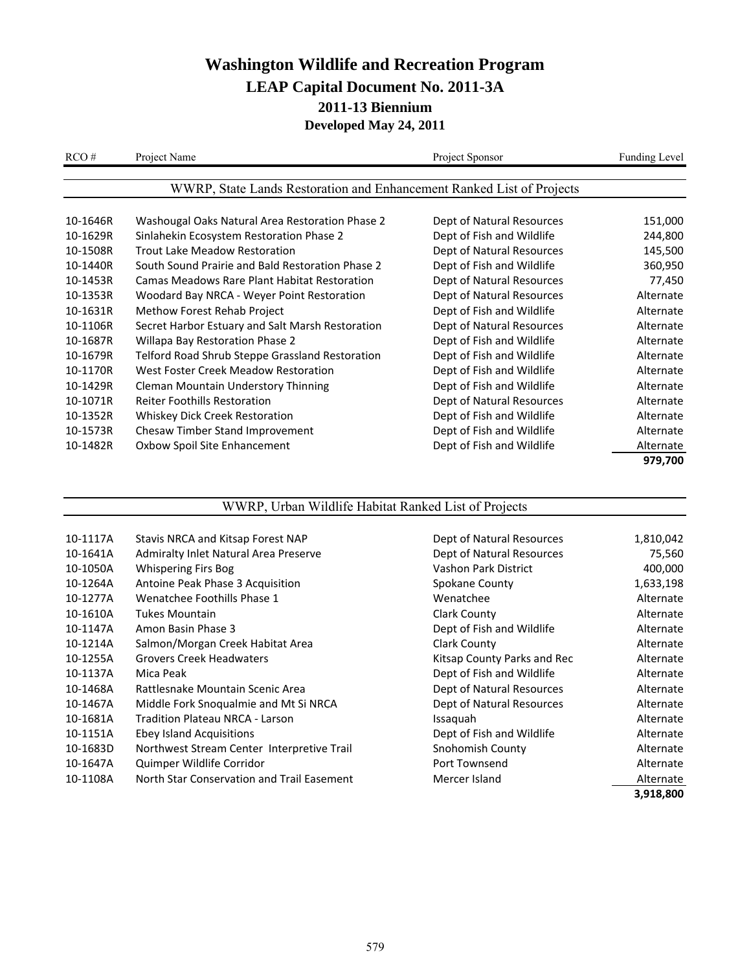| RCO#     | Project Name                                                          | Project Sponsor           | <b>Funding Level</b> |
|----------|-----------------------------------------------------------------------|---------------------------|----------------------|
|          |                                                                       |                           |                      |
|          | WWRP, State Lands Restoration and Enhancement Ranked List of Projects |                           |                      |
|          |                                                                       |                           |                      |
| 10-1646R | Washougal Oaks Natural Area Restoration Phase 2                       | Dept of Natural Resources | 151,000              |
| 10-1629R | Sinlahekin Ecosystem Restoration Phase 2                              | Dept of Fish and Wildlife | 244,800              |
| 10-1508R | Trout Lake Meadow Restoration                                         | Dept of Natural Resources | 145,500              |
| 10-1440R | South Sound Prairie and Bald Restoration Phase 2                      | Dept of Fish and Wildlife | 360,950              |
| 10-1453R | Camas Meadows Rare Plant Habitat Restoration                          | Dept of Natural Resources | 77,450               |
| 10-1353R | Woodard Bay NRCA - Weyer Point Restoration                            | Dept of Natural Resources | Alternate            |
| 10-1631R | Methow Forest Rehab Project                                           | Dept of Fish and Wildlife | Alternate            |
| 10-1106R | Secret Harbor Estuary and Salt Marsh Restoration                      | Dept of Natural Resources | Alternate            |
| 10-1687R | Willapa Bay Restoration Phase 2                                       | Dept of Fish and Wildlife | Alternate            |
| 10-1679R | Telford Road Shrub Steppe Grassland Restoration                       | Dept of Fish and Wildlife | Alternate            |
| 10-1170R | West Foster Creek Meadow Restoration                                  | Dept of Fish and Wildlife | Alternate            |
| 10-1429R | <b>Cleman Mountain Understory Thinning</b>                            | Dept of Fish and Wildlife | Alternate            |
| 10-1071R | <b>Reiter Foothills Restoration</b>                                   | Dept of Natural Resources | Alternate            |
| 10-1352R | Whiskey Dick Creek Restoration                                        | Dept of Fish and Wildlife | Alternate            |
| 10-1573R | Chesaw Timber Stand Improvement                                       | Dept of Fish and Wildlife | Alternate            |
| 10-1482R | Oxbow Spoil Site Enhancement                                          | Dept of Fish and Wildlife | Alternate            |
|          |                                                                       |                           | 979,700              |

### WWRP, Urban Wildlife Habitat Ranked List of Projects

| Stavis NRCA and Kitsap Forest NAP          | Dept of Natural Resources   | 1,810,042 |
|--------------------------------------------|-----------------------------|-----------|
| Admiralty Inlet Natural Area Preserve      | Dept of Natural Resources   | 75,560    |
| <b>Whispering Firs Bog</b>                 | Vashon Park District        | 400,000   |
| Antoine Peak Phase 3 Acquisition           | Spokane County              | 1,633,198 |
| Wenatchee Foothills Phase 1                | Wenatchee                   | Alternate |
| Tukes Mountain                             | Clark County                | Alternate |
| Amon Basin Phase 3                         | Dept of Fish and Wildlife   | Alternate |
| Salmon/Morgan Creek Habitat Area           | Clark County                | Alternate |
| <b>Grovers Creek Headwaters</b>            | Kitsap County Parks and Rec | Alternate |
| Mica Peak                                  | Dept of Fish and Wildlife   | Alternate |
| Rattlesnake Mountain Scenic Area           | Dept of Natural Resources   | Alternate |
| Middle Fork Snoqualmie and Mt Si NRCA      | Dept of Natural Resources   | Alternate |
| <b>Tradition Plateau NRCA - Larson</b>     | Issaguah                    | Alternate |
| Ebey Island Acquisitions                   | Dept of Fish and Wildlife   | Alternate |
| Northwest Stream Center Interpretive Trail | Snohomish County            | Alternate |
| Quimper Wildlife Corridor                  | Port Townsend               | Alternate |
| North Star Conservation and Trail Easement | Mercer Island               | Alternate |
|                                            |                             | 3,918,800 |
|                                            |                             |           |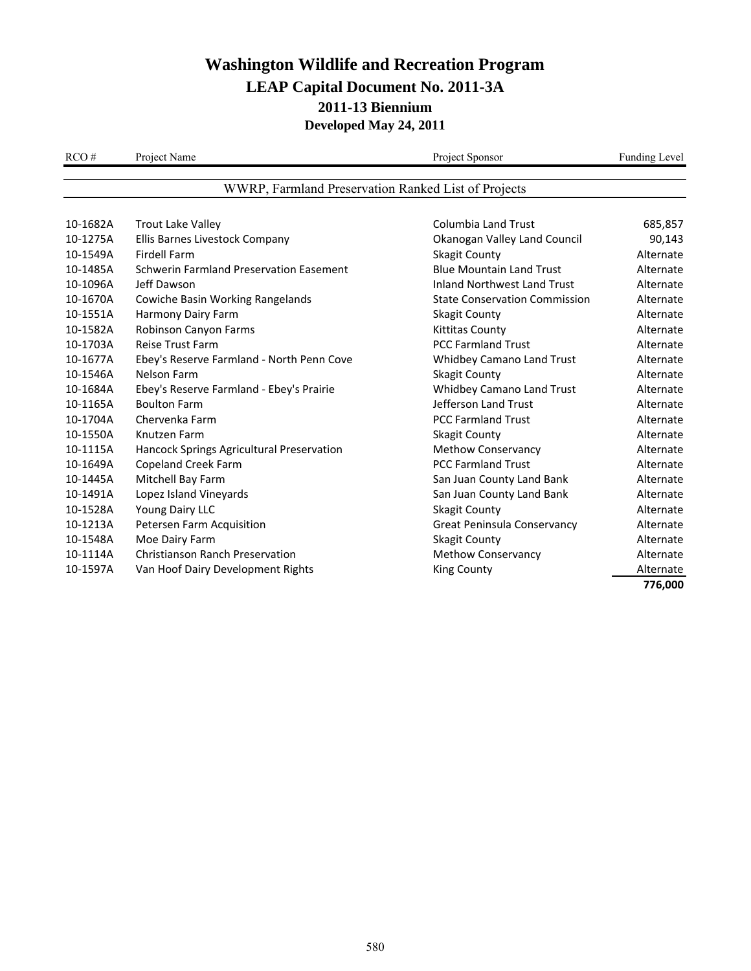| RCO#     | Project Name                                        | Project Sponsor                      | Funding Level |
|----------|-----------------------------------------------------|--------------------------------------|---------------|
|          | WWRP, Farmland Preservation Ranked List of Projects |                                      |               |
|          |                                                     |                                      |               |
| 10-1682A | <b>Trout Lake Valley</b>                            | <b>Columbia Land Trust</b>           | 685,857       |
| 10-1275A | Ellis Barnes Livestock Company                      | Okanogan Valley Land Council         | 90,143        |
| 10-1549A | <b>Firdell Farm</b>                                 | <b>Skagit County</b>                 | Alternate     |
| 10-1485A | <b>Schwerin Farmland Preservation Easement</b>      | <b>Blue Mountain Land Trust</b>      | Alternate     |
| 10-1096A | Jeff Dawson                                         | <b>Inland Northwest Land Trust</b>   | Alternate     |
| 10-1670A | Cowiche Basin Working Rangelands                    | <b>State Conservation Commission</b> | Alternate     |
| 10-1551A | Harmony Dairy Farm                                  | <b>Skagit County</b>                 | Alternate     |
| 10-1582A | Robinson Canyon Farms                               | <b>Kittitas County</b>               | Alternate     |
| 10-1703A | <b>Reise Trust Farm</b>                             | <b>PCC Farmland Trust</b>            | Alternate     |
| 10-1677A | Ebey's Reserve Farmland - North Penn Cove           | Whidbey Camano Land Trust            | Alternate     |
| 10-1546A | Nelson Farm                                         | <b>Skagit County</b>                 | Alternate     |
| 10-1684A | Ebey's Reserve Farmland - Ebey's Prairie            | Whidbey Camano Land Trust            | Alternate     |
| 10-1165A | <b>Boulton Farm</b>                                 | Jefferson Land Trust                 | Alternate     |
| 10-1704A | Chervenka Farm                                      | <b>PCC Farmland Trust</b>            | Alternate     |
| 10-1550A | Knutzen Farm                                        | <b>Skagit County</b>                 | Alternate     |
| 10-1115A | Hancock Springs Agricultural Preservation           | <b>Methow Conservancy</b>            | Alternate     |
| 10-1649A | <b>Copeland Creek Farm</b>                          | <b>PCC Farmland Trust</b>            | Alternate     |
| 10-1445A | Mitchell Bay Farm                                   | San Juan County Land Bank            | Alternate     |
| 10-1491A | Lopez Island Vineyards                              | San Juan County Land Bank            | Alternate     |
| 10-1528A | Young Dairy LLC                                     | <b>Skagit County</b>                 | Alternate     |
| 10-1213A | Petersen Farm Acquisition                           | Great Peninsula Conservancy          | Alternate     |
| 10-1548A | Moe Dairy Farm                                      | <b>Skagit County</b>                 | Alternate     |
| 10-1114A | <b>Christianson Ranch Preservation</b>              | <b>Methow Conservancy</b>            | Alternate     |
| 10-1597A | Van Hoof Dairy Development Rights                   | <b>King County</b>                   | Alternate     |
|          |                                                     |                                      | 776,000       |